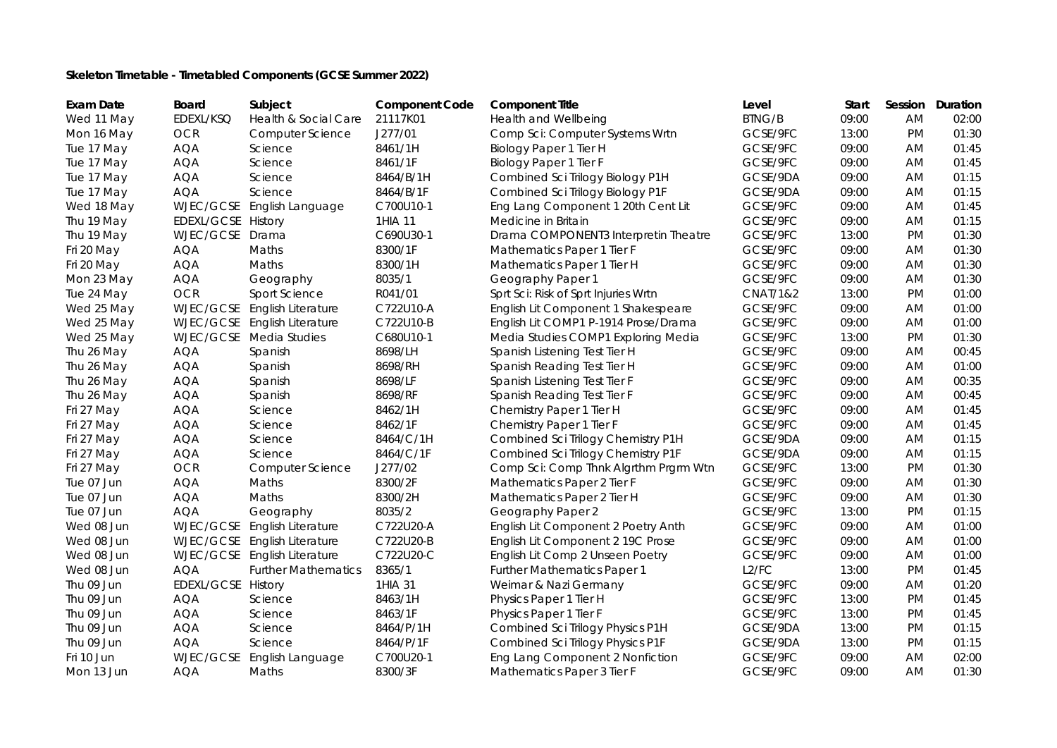## **Skeleton Timetable - Timetabled Components (GCSE Summer 2022)**

| <b>Exam Date</b> | Board              | Subject                      | <b>Component Code</b> | <b>Component Title</b>                | Level               | Start | <b>Session</b> | Duration |
|------------------|--------------------|------------------------------|-----------------------|---------------------------------------|---------------------|-------|----------------|----------|
| Wed 11 May       | EDEXL/KSQ          | Health & Social Care         | 21117K01              | <b>Health and Wellbeing</b>           | <b>BTNG/B</b>       | 09:00 | <b>AM</b>      | 02:00    |
| Mon 16 May       | <b>OCR</b>         | Computer Science             | J277/01               | Comp Sci: Computer Systems Wrtn       | GCSE/9FC            | 13:00 | <b>PM</b>      | 01:30    |
| Tue 17 May       | <b>AQA</b>         | Science                      | 8461/1H               | Biology Paper 1 Tier H                | GCSE/9FC            | 09:00 | <b>AM</b>      | 01:45    |
| Tue 17 May       | <b>AQA</b>         | Science                      | 8461/1F               | Biology Paper 1 Tier F                | GCSE/9FC            | 09:00 | <b>AM</b>      | 01:45    |
| Tue 17 May       | <b>AQA</b>         | Science                      | 8464/B/1H             | Combined Sci Trilogy Biology P1H      | GCSE/9DA            | 09:00 | AM.            | 01:15    |
| Tue 17 May       | <b>AQA</b>         | Science                      | 8464/B/1F             | Combined Sci Trilogy Biology P1F      | GCSE/9DA            | 09:00 | AM.            | 01:15    |
| Wed 18 May       |                    | WJEC/GCSE English Language   | C700U10-1             | Eng Lang Component 1 20th Cent Lit    | GCSE/9FC            | 09:00 | <b>AM</b>      | 01:45    |
| Thu 19 May       | EDEXL/GCSE History |                              | 1HIA 11               | Medicine in Britain                   | GCSE/9FC            | 09:00 | <b>AM</b>      | 01:15    |
| Thu 19 May       | WJEC/GCSE Drama    |                              | C690U30-1             | Drama COMPONENT3 Interpretin Theatre  | GCSE/9FC            | 13:00 | <b>PM</b>      | 01:30    |
| Fri 20 May       | <b>AQA</b>         | Maths                        | 8300/1F               | Mathematics Paper 1 Tier F            | GCSE/9FC            | 09:00 | AM.            | 01:30    |
| Fri 20 May       | <b>AQA</b>         | Maths                        | 8300/1H               | Mathematics Paper 1 Tier H            | GCSE/9FC            | 09:00 | <b>AM</b>      | 01:30    |
| Mon 23 May       | <b>AQA</b>         | Geography                    | 8035/1                | Geography Paper 1                     | GCSE/9FC            | 09:00 | AM.            | 01:30    |
| Tue 24 May       | <b>OCR</b>         | Sport Science                | R041/01               | Sprt Sci: Risk of Sprt Injuries Wrtn  | <b>CNAT/1&amp;2</b> | 13:00 | <b>PM</b>      | 01:00    |
| Wed 25 May       | WJEC/GCSE          | <b>English Literature</b>    | C722U10-A             | English Lit Component 1 Shakespeare   | GCSE/9FC            | 09:00 | AM.            | 01:00    |
| Wed 25 May       |                    | WJEC/GCSE English Literature | C722U10-B             | English Lit COMP1 P-1914 Prose/Drama  | GCSE/9FC            | 09:00 | AM             | 01:00    |
| Wed 25 May       |                    | WJEC/GCSE Media Studies      | C680U10-1             | Media Studies COMP1 Exploring Media   | GCSE/9FC            | 13:00 | <b>PM</b>      | 01:30    |
| Thu 26 May       | <b>AQA</b>         | Spanish                      | 8698/LH               | Spanish Listening Test Tier H         | GCSE/9FC            | 09:00 | AM.            | 00:45    |
| Thu 26 May       | <b>AQA</b>         | Spanish                      | 8698/RH               | Spanish Reading Test Tier H           | GCSE/9FC            | 09:00 | <b>AM</b>      | 01:00    |
| Thu 26 May       | <b>AQA</b>         | Spanish                      | 8698/LF               | Spanish Listening Test Tier F         | GCSE/9FC            | 09:00 | <b>AM</b>      | 00:35    |
| Thu 26 May       | <b>AQA</b>         | Spanish                      | 8698/RF               | Spanish Reading Test Tier F           | GCSE/9FC            | 09:00 | AM.            | 00:45    |
| Fri 27 May       | <b>AQA</b>         | Science                      | 8462/1H               | Chemistry Paper 1 Tier H              | GCSE/9FC            | 09:00 | AM.            | 01:45    |
| Fri 27 May       | <b>AQA</b>         | Science                      | 8462/1F               | Chemistry Paper 1 Tier F              | GCSE/9FC            | 09:00 | AM             | 01:45    |
| Fri 27 May       | <b>AQA</b>         | Science                      | 8464/C/1H             | Combined Sci Trilogy Chemistry P1H    | GCSE/9DA            | 09:00 | <b>AM</b>      | 01:15    |
| Fri 27 May       | <b>AQA</b>         | Science                      | 8464/C/1F             | Combined Sci Trilogy Chemistry P1F    | GCSE/9DA            | 09:00 | AM             | 01:15    |
| Fri 27 May       | <b>OCR</b>         | Computer Science             | J277/02               | Comp Sci: Comp Thnk Algrthm Prgrm Wtn | GCSE/9FC            | 13:00 | <b>PM</b>      | 01:30    |
| Tue 07 Jun       | <b>AQA</b>         | Maths                        | 8300/2F               | Mathematics Paper 2 Tier F            | GCSE/9FC            | 09:00 | AM.            | 01:30    |
| Tue 07 Jun       | <b>AQA</b>         | Maths                        | 8300/2H               | Mathematics Paper 2 Tier H            | GCSE/9FC            | 09:00 | AM.            | 01:30    |
| Tue 07 Jun       | <b>AQA</b>         | Geography                    | 8035/2                | Geography Paper 2                     | GCSE/9FC            | 13:00 | <b>PM</b>      | 01:15    |
| Wed 08 Jun       | WJEC/GCSE          | <b>English Literature</b>    | C722U20-A             | English Lit Component 2 Poetry Anth   | GCSE/9FC            | 09:00 | AM.            | 01:00    |
| Wed 08 Jun       |                    | WJEC/GCSE English Literature | C722U20-B             | English Lit Component 2 19C Prose     | GCSE/9FC            | 09:00 | AM             | 01:00    |
| Wed 08 Jun       |                    | WJEC/GCSE English Literature | C722U20-C             | English Lit Comp 2 Unseen Poetry      | GCSE/9FC            | 09:00 | AM             | 01:00    |
| Wed 08 Jun       | <b>AQA</b>         | <b>Further Mathematics</b>   | 8365/1                | Further Mathematics Paper 1           | L2/FC               | 13:00 | <b>PM</b>      | 01:45    |
| Thu 09 Jun       | EDEXL/GCSE History |                              | 1HIA 31               | Weimar & Nazi Germany                 | GCSE/9FC            | 09:00 | <b>AM</b>      | 01:20    |
| Thu 09 Jun       | <b>AQA</b>         | Science                      | 8463/1H               | Physics Paper 1 Tier H                | GCSE/9FC            | 13:00 | <b>PM</b>      | 01:45    |
| Thu 09 Jun       | <b>AQA</b>         | Science                      | 8463/1F               | Physics Paper 1 Tier F                | GCSE/9FC            | 13:00 | <b>PM</b>      | 01:45    |
| Thu 09 Jun       | <b>AQA</b>         | Science                      | 8464/P/1H             | Combined Sci Trilogy Physics P1H      | GCSE/9DA            | 13:00 | <b>PM</b>      | 01:15    |
| Thu 09 Jun       | <b>AQA</b>         | Science                      | 8464/P/1F             | Combined Sci Trilogy Physics P1F      | GCSE/9DA            | 13:00 | <b>PM</b>      | 01:15    |
| Fri 10 Jun       | WJEC/GCSE          | English Language             | C700U20-1             | Eng Lang Component 2 Nonfiction       | GCSE/9FC            | 09:00 | AM             | 02:00    |
| Mon 13 Jun       | <b>AQA</b>         | Maths                        | 8300/3F               | Mathematics Paper 3 Tier F            | GCSE/9FC            | 09:00 | <b>AM</b>      | 01:30    |